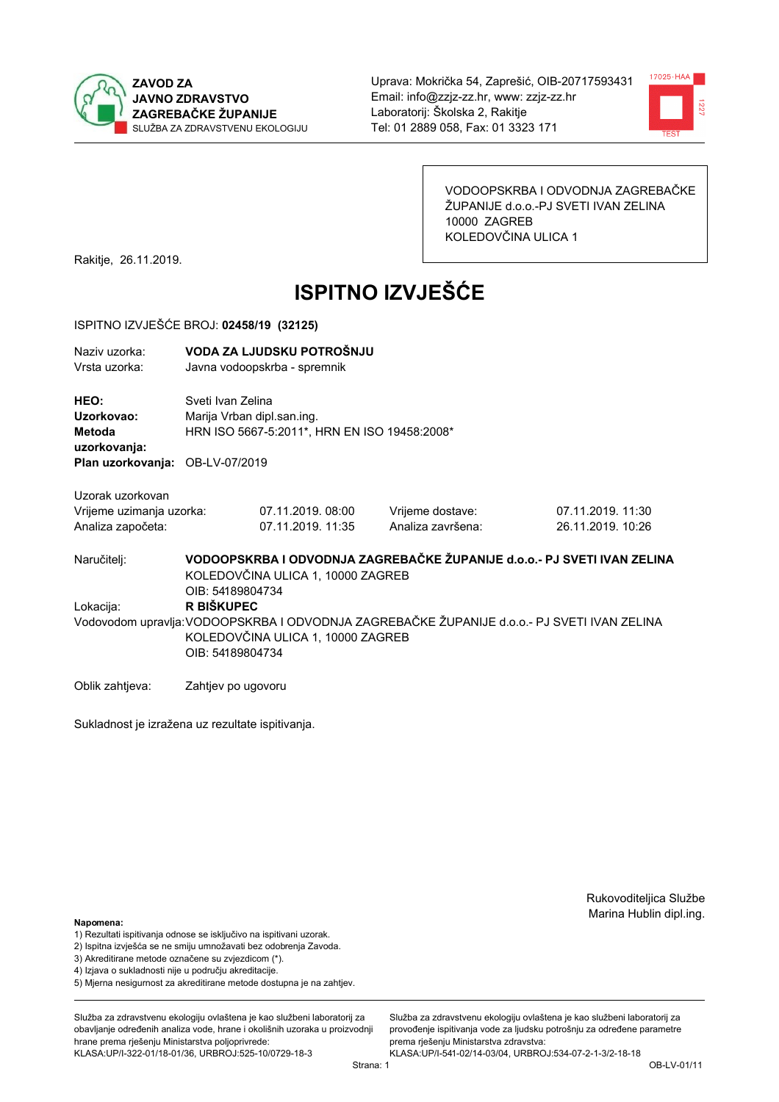



VODOOPSKRBA I ODVODNJA ZAGREBAČKE ŽUPANIJE d.o.o.-PJ SVETI IVAN ZELINA 10000 ZAGREB KOLEDOVČINA ULICA 1

Rakitje, 26.11.2019.

# **ISPITNO IZVJEŠĆE**

#### ISPITNO IZVJEŠĆE BROJ: 02458/19 (32125)

| Naziv uzorka: | VODA ZA LJUDSKU POTROŠNJU    |
|---------------|------------------------------|
| Vrsta uzorka: | Javna vodoopskrba - spremnik |

HEO: Sveti Ivan Zelina Uzorkovao: Marija Vrban dipl.san.ing. Metoda HRN ISO 5667-5:2011\*, HRN EN ISO 19458:2008\* uzorkovanja: Plan uzorkovanja: OB-LV-07/2019

Uzorak uzorkovan

| Vrijeme uzimanja uzorka: | 07.11.2019.08:00  | Vrijeme dostave:  | 07.11.2019. 11:30 |
|--------------------------|-------------------|-------------------|-------------------|
| Analiza započeta:        | 07.11.2019. 11:35 | Analiza završena: | 26.11.2019. 10:26 |

VODOOPSKRBA I ODVODNJA ZAGREBAČKE ŽUPANIJE d.o.o. - PJ SVETI IVAN ZELINA Naručitelj: KOLEDOVČINA ULICA 1, 10000 ZAGREB OIB: 54189804734 Lokacija: R BIŠKUPEC Vodovodom upravlja: VODOOPSKRBA I ODVODNJA ZAGREBAČKE ŽUPANIJE d.o.o.- PJ SVETI IVAN ZELINA KOLEDOVČINA ULICA 1, 10000 ZAGREB OIB: 54189804734

Oblik zahtjeva: Zahtjev po ugovoru

Sukladnost je izražena uz rezultate ispitivanja.

Rukovoditeljica Službe Marina Hublin dipl.ing.

#### Napomena:

- 1) Rezultati ispitivanja odnose se isključivo na ispitivani uzorak.
- 2) Ispitna izvješća se ne smiju umnožavati bez odobrenja Zavoda.
- 3) Akreditirane metode označene su zvjezdicom (\*).
- 4) Iziava o sukladnosti nije u području akreditacije.
- 5) Mjerna nesigurnost za akreditirane metode dostupna je na zahtjev.

Služba za zdravstvenu ekologiju ovlaštena je kao službeni laboratorij za obavlianie određenih analiza vode, hrane i okolišnih uzoraka u proizvodniji hrane prema rješenju Ministarstva poljoprivrede: KLASA:UP/I-322-01/18-01/36, URBROJ:525-10/0729-18-3

Služba za zdravstvenu ekologiju ovlaštena je kao službeni laboratorij za provođenie ispitivania vode za liudsku potrošniu za određene parametre prema riešenju Ministarstva zdravstva:

KLASA:UP/I-541-02/14-03/04, URBROJ:534-07-2-1-3/2-18-18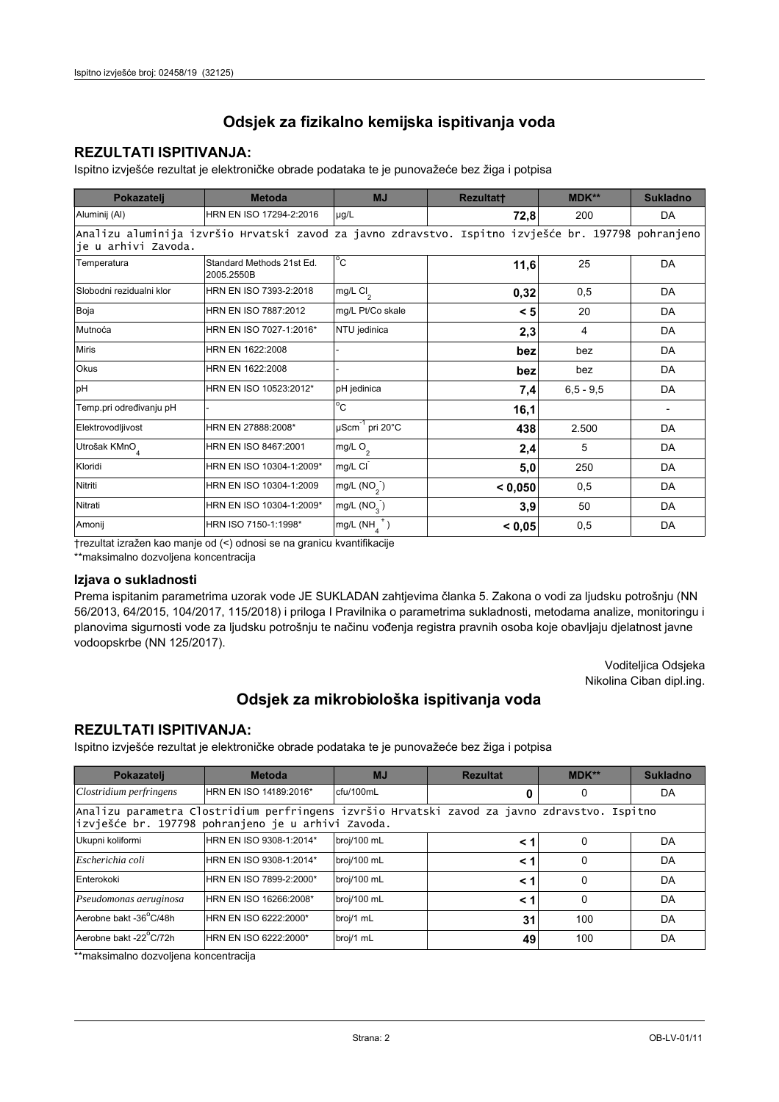### **REZULTATI ISPITIVANJA:**

Ispitno izviešće rezultat je elektroničke obrade podataka te je punovažeće bez žiga i potpisa

| Pokazatelj                | <b>Metoda</b>                                                                                       | <b>MJ</b>                        | Rezultatt | MDK**         | <b>Sukladno</b> |  |
|---------------------------|-----------------------------------------------------------------------------------------------------|----------------------------------|-----------|---------------|-----------------|--|
| Aluminij (Al)             | HRN EN ISO 17294-2:2016                                                                             | µg/L                             | 72,8      | 200           | DA              |  |
| je u arhivi Zavoda.       | Analizu aluminija izvršio Hrvatski zavod za javno zdravstvo. Ispitno izvješće br. 197798 pohranjeno |                                  |           |               |                 |  |
| Temperatura               | Standard Methods 21st Ed.<br>2005.2550B                                                             | $^{\circ}$ C                     | 11,6      | 25            | DA              |  |
| Slobodni rezidualni klor  | HRN EN ISO 7393-2:2018                                                                              | $mg/L$ Cl <sub>2</sub>           | 0,32      | 0,5           | DA              |  |
| Boja                      | HRN EN ISO 7887:2012                                                                                | mg/L Pt/Co skale                 | < 5       | 20            | DA              |  |
| Mutnoća                   | HRN EN ISO 7027-1:2016*                                                                             | NTU jedinica                     | 2,3       | 4             | DA              |  |
| Miris                     | HRN EN 1622:2008                                                                                    |                                  | bez       | bez           | DA              |  |
| <b>Okus</b>               | HRN EN 1622:2008                                                                                    |                                  | bez       | bez           | DA              |  |
| pH                        | HRN EN ISO 10523:2012*                                                                              | pH jedinica                      | 7,4       | $6, 5 - 9, 5$ | DA              |  |
| Temp.pri određivanju pH   |                                                                                                     | $\overline{C}$                   | 16,1      |               |                 |  |
| Elektrovodljivost         | HRN EN 27888:2008*                                                                                  | $\mu$ Scm <sup>-1</sup> pri 20°C | 438       | 2.500         | DA              |  |
| Utrošak KMnO <sub>4</sub> | HRN EN ISO 8467:2001                                                                                | $mg/L$ O <sub>2</sub>            | 2,4       | 5             | DA              |  |
| Kloridi                   | HRN EN ISO 10304-1:2009*                                                                            | mg/L CI                          | 5,0       | 250           | DA              |  |
| Nitriti                   | HRN EN ISO 10304-1:2009                                                                             | mg/L $(NO2)$                     | < 0,050   | 0,5           | DA              |  |
| Nitrati                   | HRN EN ISO 10304-1:2009*                                                                            | mg/L $(NO_{3})$                  | 3,9       | 50            | DA              |  |
| Amonij                    | HRN ISO 7150-1:1998*                                                                                | mg/L (NH                         | < 0.05    | 0,5           | DA              |  |

trezultat izražen kao manje od (<) odnosi se na granicu kvantifikacije

\*\*maksimalno dozvoljena koncentracija

#### Izjava o sukladnosti

Prema ispitanim parametrima uzorak vode JE SUKLADAN zahtjevima članka 5. Zakona o vodi za ljudsku potrošnju (NN 56/2013, 64/2015, 104/2017, 115/2018) i priloga I Pravilnika o parametrima sukladnosti, metodama analize, monitoringu i planovima sigurnosti vode za ljudsku potrošnju te načinu vođenja registra pravnih osoba koje obavljaju djelatnost javne vodoopskrbe (NN 125/2017).

> Voditeljica Odsjeka Nikolina Ciban dipl.ing.

## Odsjek za mikrobiološka ispitivanja voda

### **REZULTATI ISPITIVANJA:**

Ispitno izvješće rezultat je elektroničke obrade podataka te je punovažeće bez žiga i potpisa

| Pokazatelj                                                                                                                                         | <b>Metoda</b>           | <b>MJ</b>   | <b>Rezultat</b> | $MDK**$  | <b>Sukladno</b> |  |
|----------------------------------------------------------------------------------------------------------------------------------------------------|-------------------------|-------------|-----------------|----------|-----------------|--|
| Clostridium perfringens                                                                                                                            | HRN EN ISO 14189:2016*  | cfu/100mL   |                 | 0        | DA              |  |
| Analizu parametra Clostridium perfringens izvršio Hrvatski zavod za javno zdravstvo. Ispitno<br>izvješće br. 197798 pohranjeno je u arhivi Zavoda. |                         |             |                 |          |                 |  |
| Ukupni koliformi                                                                                                                                   | HRN EN ISO 9308-1:2014* | broj/100 mL | < 1             | 0        | DA              |  |
| Escherichia coli                                                                                                                                   | HRN EN ISO 9308-1:2014* | broj/100 mL | < 1             | $\Omega$ | DA              |  |
| Enterokoki                                                                                                                                         | HRN EN ISO 7899-2:2000* | broj/100 mL | $\leq 1$        | $\Omega$ | DA              |  |
| Pseudomonas aeruginosa                                                                                                                             | HRN EN ISO 16266:2008*  | broj/100 mL | $\leq 1$        | 0        | DA              |  |
| Aerobne bakt -36 C/48h                                                                                                                             | HRN EN ISO 6222:2000*   | broj/1 mL   | 31              | 100      | DA              |  |
| Aerobne bakt -22°C/72h                                                                                                                             | HRN EN ISO 6222:2000*   | broj/1 mL   | 49              | 100      | DA              |  |

\*\*maksimalno dozvoliena koncentracija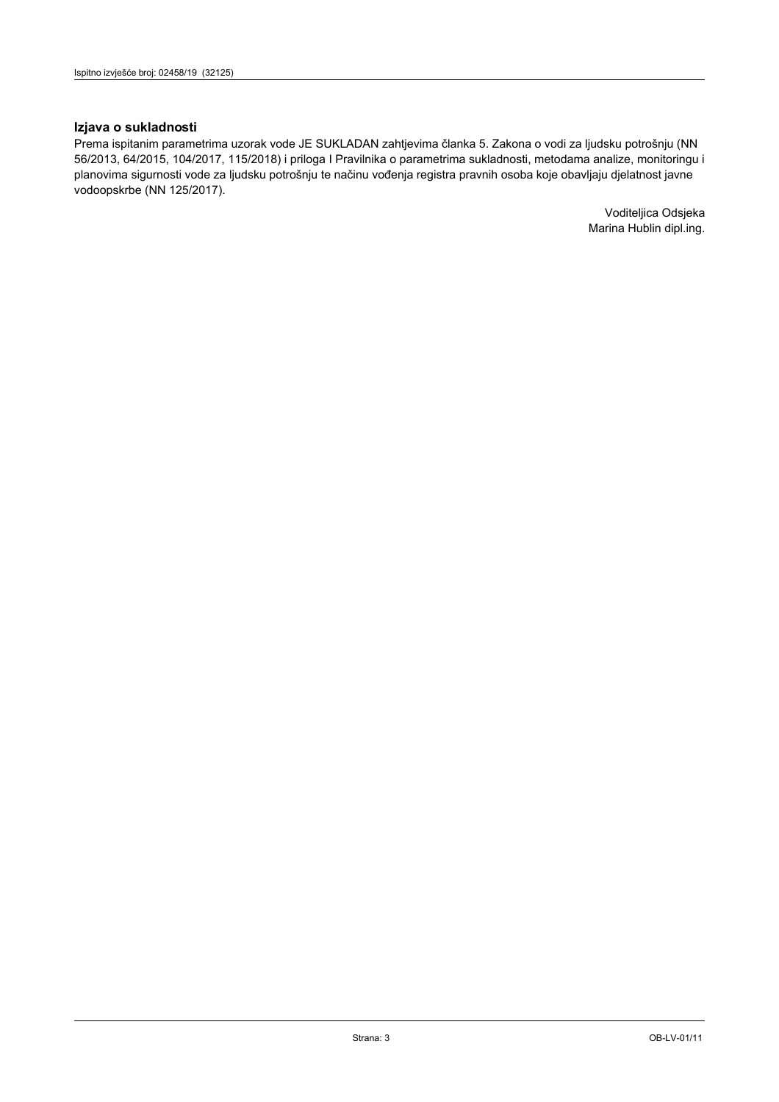#### Izjava o sukladnosti

Prema ispitanim parametrima uzorak vode JE SUKLADAN zahtjevima članka 5. Zakona o vodi za ljudsku potrošnju (NN 56/2013, 64/2015, 104/2017, 115/2018) i priloga I Pravilnika o parametrima sukladnosti, metodama analize, monitoringu i planovima sigurnosti vode za ljudsku potrošnju te načinu vođenja registra pravnih osoba koje obavljaju djelatnost javne vodoopskrbe (NN 125/2017).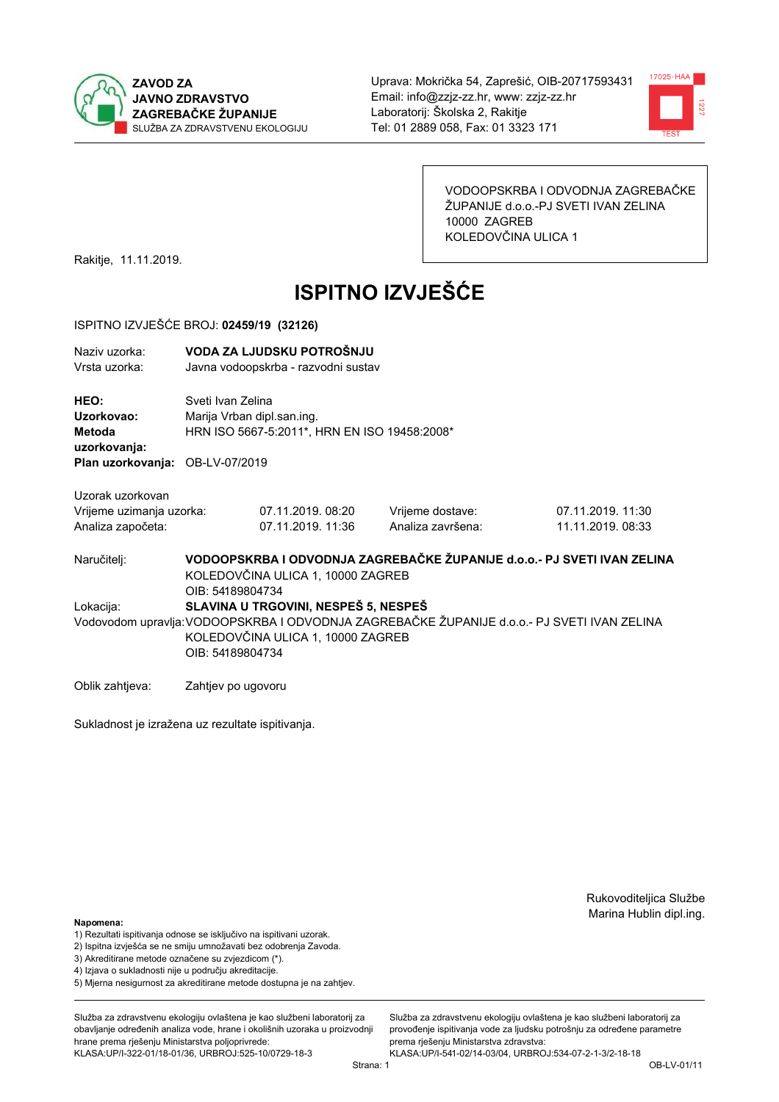



VODOOPSKRBA I ODVODNJA ZAGREBAČKE ŽUPANIJE d.o.o.-PJ SVETI IVAN ZELINA 10000 ZAGREB KOLEDOVČINA ULICA 1

Rakitje, 11.11.2019.

# **ISPITNO IZVJEŠĆE**

#### ISPITNO IZVJEŠĆE BROJ: 02459/19 (32126)

| Naziv uzorka:                   |                    | VODA ZA LJUDSKU POTROŠNJU                    |                   |                                                                                             |  |  |
|---------------------------------|--------------------|----------------------------------------------|-------------------|---------------------------------------------------------------------------------------------|--|--|
| Vrsta uzorka:                   |                    | Javna vodoopskrba - razvodni sustav          |                   |                                                                                             |  |  |
| HEO:                            |                    | Sveti Ivan Zelina                            |                   |                                                                                             |  |  |
| Uzorkovao:                      |                    | Marija Vrban dipl.san.ing.                   |                   |                                                                                             |  |  |
| <b>Metoda</b>                   |                    | HRN ISO 5667-5:2011*, HRN EN ISO 19458:2008* |                   |                                                                                             |  |  |
| uzorkovanja:                    |                    |                                              |                   |                                                                                             |  |  |
| Plan uzorkovanja: OB-LV-07/2019 |                    |                                              |                   |                                                                                             |  |  |
| Uzorak uzorkovan                |                    |                                              |                   |                                                                                             |  |  |
| Vrijeme uzimanja uzorka:        |                    | 07.11.2019. 08:20                            | Vrijeme dostave:  | 07.11.2019. 11:30                                                                           |  |  |
| Analiza započeta:               |                    | 07.11.2019. 11:36                            | Analiza završena: | 11.11.2019. 08:33                                                                           |  |  |
| Naručitelj:                     |                    |                                              |                   | VODOOPSKRBA I ODVODNJA ZAGREBAČKE ŽUPANIJE d.o.o.- PJ SVETI IVAN ZELINA                     |  |  |
|                                 |                    | KOLEDOVČINA ULICA 1, 10000 ZAGREB            |                   |                                                                                             |  |  |
|                                 | OIB: 54189804734   |                                              |                   |                                                                                             |  |  |
| Lokacija:                       |                    | SLAVINA U TRGOVINI, NESPEŠ 5, NESPEŠ         |                   |                                                                                             |  |  |
|                                 |                    |                                              |                   | Vodovodom upravlja: VODOOPSKRBA I ODVODNJA ZAGREBAČKE ŽUPANIJE d.o.o.- PJ SVETI IVAN ZELINA |  |  |
|                                 |                    | KOLEDOVČINA ULICA 1, 10000 ZAGREB            |                   |                                                                                             |  |  |
|                                 | OIB: 54189804734   |                                              |                   |                                                                                             |  |  |
|                                 |                    |                                              |                   |                                                                                             |  |  |
| Oblik zahtieva:                 | Zahtjev po ugovoru |                                              |                   |                                                                                             |  |  |

Sukladnost je izražena uz rezultate ispitivanja.

Rukovoditeljica Službe Marina Hublin dipl.ing.

#### Napomena:

- 1) Rezultati ispitivanja odnose se isključivo na ispitivani uzorak.
- 2) Ispitna izvješća se ne smiju umnožavati bez odobrenja Zavoda.
- 3) Akreditirane metode označene su zvjezdicom (\*).
- 4) Iziava o sukladnosti nije u području akreditacije.
- 5) Mjerna nesigurnost za akreditirane metode dostupna je na zahtjev.

Služba za zdravstvenu ekologiju ovlaštena je kao službeni laboratorij za obavlianie određenih analiza vode, hrane i okolišnih uzoraka u proizvodniji hrane prema rješenju Ministarstva poljoprivrede: KLASA:UP/I-322-01/18-01/36, URBROJ:525-10/0729-18-3

Služba za zdravstvenu ekologiju ovlaštena je kao službeni laboratorij za provođenie ispitivania vode za liudsku potrošniu za određene parametre prema rješenju Ministarstva zdravstva:

KLASA:UP/I-541-02/14-03/04, URBROJ:534-07-2-1-3/2-18-18 Strana: 1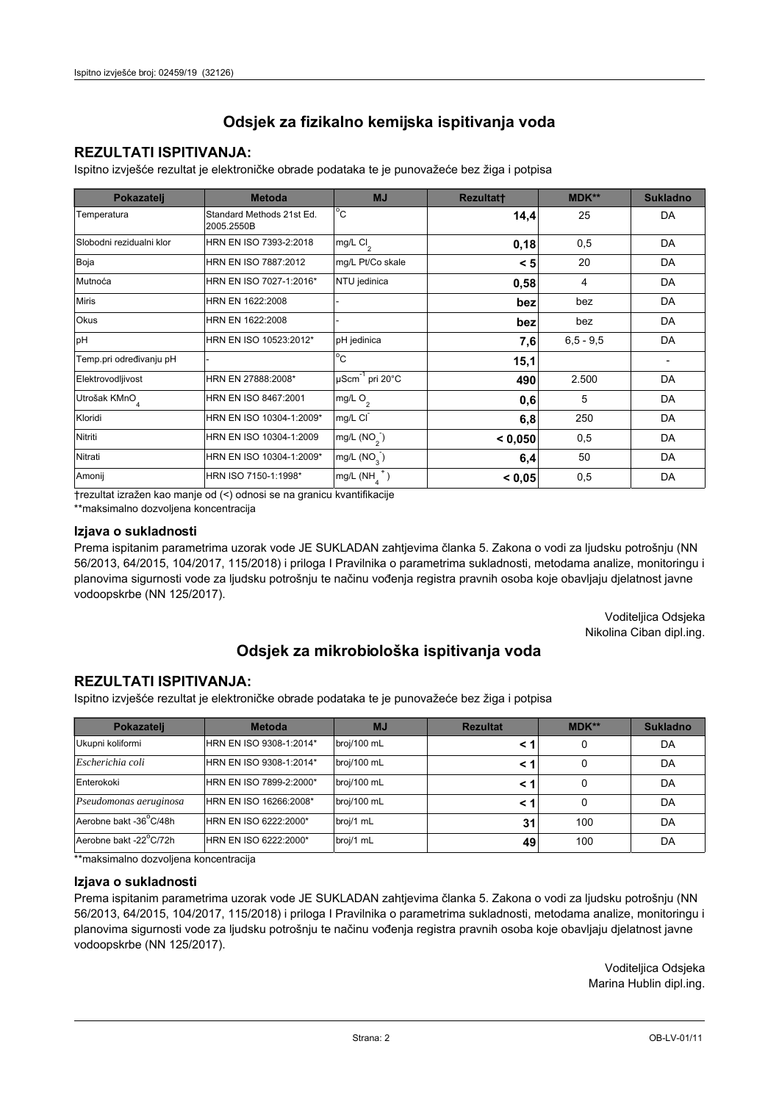## **REZULTATI ISPITIVANJA:**

Ispitno izviešće rezultat je elektroničke obrade podataka te je punovažeće bez žiga i potpisa

| Pokazatelj                | <b>Metoda</b>                           | <b>MJ</b>                   | <b>Rezultatt</b> | MDK**         | <b>Sukladno</b> |
|---------------------------|-----------------------------------------|-----------------------------|------------------|---------------|-----------------|
| Temperatura               | Standard Methods 21st Ed.<br>2005.2550B | $^{\circ}$ C                | 14,4             | 25            | DA              |
| Slobodni rezidualni klor  | HRN EN ISO 7393-2:2018                  | mg/L Cl <sub>2</sub>        | 0,18             | 0,5           | DA              |
| Boja                      | HRN EN ISO 7887:2012                    | mg/L Pt/Co skale            | < 5              | 20            | DA              |
| Mutnoća                   | HRN EN ISO 7027-1:2016*                 | NTU jedinica                | 0,58             | 4             | DA              |
| <b>Miris</b>              | HRN EN 1622:2008                        |                             | bez              | bez           | DA              |
| <b>Okus</b>               | HRN EN 1622:2008                        |                             | bez              | bez           | DA              |
| pH                        | HRN EN ISO 10523:2012*                  | pH jedinica                 | 7,6              | $6, 5 - 9, 5$ | DA              |
| Temp.pri određivanju pH   |                                         | $\overline{C}$              | 15,1             |               |                 |
| Elektrovodljivost         | HRN EN 27888:2008*                      | µScm <sup>-1</sup> pri 20°C | 490              | 2.500         | DA              |
| Utrošak KMnO <sub>4</sub> | HRN EN ISO 8467:2001                    | mg/L O <sub>2</sub>         | 0,6              | 5             | DA              |
| Kloridi                   | HRN EN ISO 10304-1:2009*                | mg/L CI                     | 6,8              | 250           | DA              |
| Nitriti                   | HRN EN ISO 10304-1:2009                 | mg/L $(NO2)$                | < 0,050          | 0,5           | DA              |
| Nitrati                   | HRN EN ISO 10304-1:2009*                | mg/L $(NO3)$                | 6,4              | 50            | DA              |
| Amonij                    | HRN ISO 7150-1:1998*                    | mg/L (NH                    | < 0,05           | 0,5           | DA              |

trezultat izražen kao manje od (<) odnosi se na granicu kvantifikacije

\*\*maksimalno dozvoljena koncentracija

#### Izjava o sukladnosti

Prema ispitanim parametrima uzorak vode JE SUKLADAN zahtievima članka 5. Zakona o vodi za ljudsku potrošnju (NN 56/2013, 64/2015, 104/2017, 115/2018) i priloga I Pravilnika o parametrima sukladnosti, metodama analize, monitoringu i planovima sigurnosti vode za ljudsku potrošnju te načinu vođenja registra pravnih osoba koje obavljaju djelatnost javne vodoopskrbe (NN 125/2017).

> Voditeljica Odsjeka Nikolina Ciban dipl.ing.

# Odsjek za mikrobiološka ispitivanja voda

## **REZULTATI ISPITIVANJA:**

Ispitno izvješće rezultat je elektroničke obrade podataka te je punovažeće bez žiga i potpisa

| Pokazatelj             | <b>Metoda</b>           | <b>MJ</b>   | <b>Rezultat</b> | <b>MDK**</b> | <b>Sukladno</b> |
|------------------------|-------------------------|-------------|-----------------|--------------|-----------------|
| Ukupni koliformi       | HRN EN ISO 9308-1:2014* | broj/100 mL |                 | 0            | DA              |
| Escherichia coli       | HRN EN ISO 9308-1:2014* | broj/100 mL | < 1             | 0            | DA              |
| Enterokoki             | HRN EN ISO 7899-2:2000* | broj/100 mL | < '             | 0            | DA              |
| Pseudomonas aeruginosa | HRN EN ISO 16266:2008*  | broj/100 mL | < 1             | 0            | DA              |
| Aerobne bakt -36 C/48h | HRN EN ISO 6222:2000*   | broj/1 mL   | 31              | 100          | DA              |
| Aerobne bakt -22°C/72h | HRN EN ISO 6222:2000*   | broj/1 mL   | 49              | 100          | DA              |

\*\*maksimalno dozvoljena koncentracija

#### Izjava o sukladnosti

Prema ispitanim parametrima uzorak vode JE SUKLADAN zahtjevima članka 5. Zakona o vodi za ljudsku potrošnju (NN 56/2013, 64/2015, 104/2017, 115/2018) i priloga I Pravilnika o parametrima sukladnosti, metodama analize, monitoringu i planovima sigurnosti vode za ljudsku potrošnju te načinu vođenja registra pravnih osoba koje obavljaju djelatnost javne vodoopskrbe (NN 125/2017).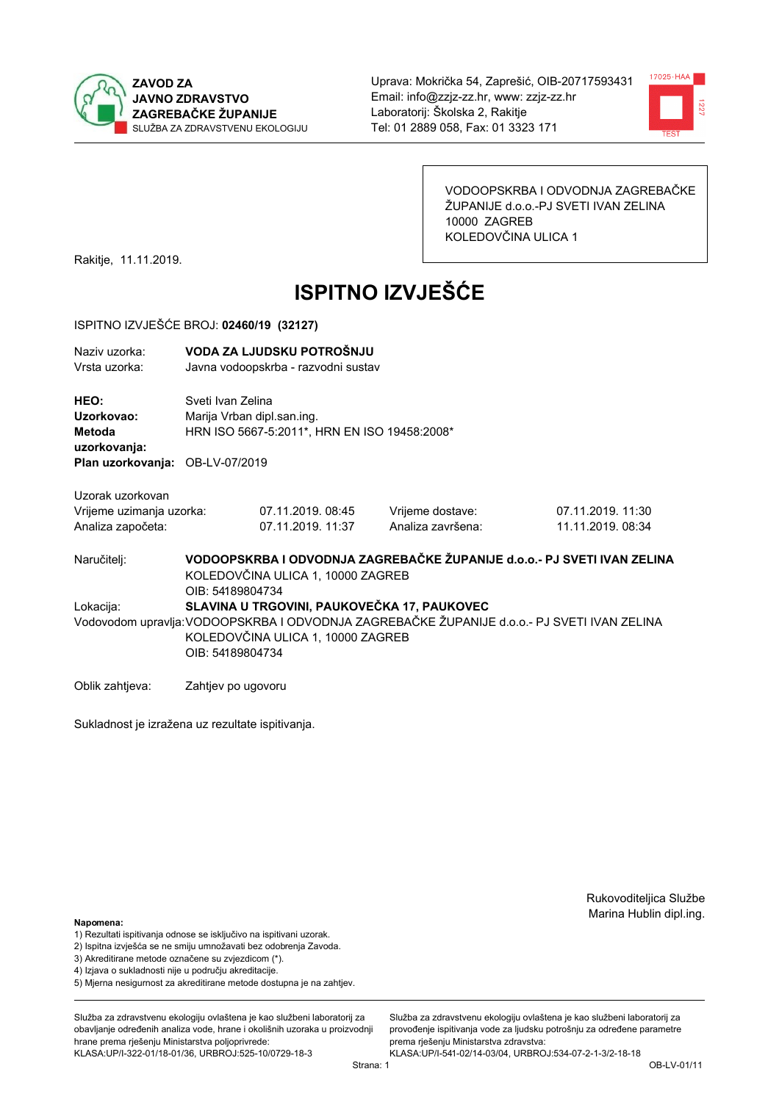



VODOOPSKRBA I ODVODNJA ZAGREBAČKE ŽUPANIJE d.o.o.-PJ SVETI IVAN ZELINA 10000 ZAGREB KOLEDOVČINA ULICA 1

Rakitje, 11.11.2019.

# **ISPITNO IZVJEŠĆE**

#### ISPITNO IZVJEŠĆE BROJ: 02460/19 (32127)

| Naziv uzorka:<br>Vrsta uzorka:                      | VODA ZA LJUDSKU POTROŠNJU<br>Javna vodoopskrba - razvodni sustav |                                                                                                              |                   |                                                                                              |  |  |
|-----------------------------------------------------|------------------------------------------------------------------|--------------------------------------------------------------------------------------------------------------|-------------------|----------------------------------------------------------------------------------------------|--|--|
| HEO:<br>Uzorkovao:<br><b>Metoda</b><br>uzorkovanja: |                                                                  | Sveti Ivan Zelina<br>Marija Vrban dipl.san.ing.<br>HRN ISO 5667-5:2011*, HRN EN ISO 19458:2008*              |                   |                                                                                              |  |  |
| Plan uzorkovanja: OB-LV-07/2019                     |                                                                  |                                                                                                              |                   |                                                                                              |  |  |
| Uzorak uzorkovan                                    |                                                                  |                                                                                                              |                   |                                                                                              |  |  |
| Vrijeme uzimanja uzorka:                            |                                                                  | 07.11.2019.08:45                                                                                             | Vrijeme dostave:  | 07.11.2019. 11:30                                                                            |  |  |
| Analiza započeta:                                   |                                                                  | 07.11.2019. 11:37                                                                                            | Analiza završena: | 11.11.2019. 08:34                                                                            |  |  |
| Naručitelj:                                         | OIB: 54189804734                                                 | VODOOPSKRBA I ODVODNJA ZAGREBAČKE ŽUPANIJE d.o.o.- PJ SVETI IVAN ZELINA<br>KOLEDOVČINA ULICA 1, 10000 ZAGREB |                   |                                                                                              |  |  |
| Lokacija:                                           |                                                                  | SLAVINA U TRGOVINI, PAUKOVEČKA 17, PAUKOVEC                                                                  |                   |                                                                                              |  |  |
|                                                     |                                                                  |                                                                                                              |                   | Vodovodom upravlja: VODOOPSKRBA I ODVODNJA ZAGREBAČKE ŽUPANIJE d.o.o. - PJ SVETI IVAN ZELINA |  |  |
|                                                     |                                                                  | KOLEDOVČINA ULICA 1, 10000 ZAGREB                                                                            |                   |                                                                                              |  |  |
|                                                     | OIB: 54189804734                                                 |                                                                                                              |                   |                                                                                              |  |  |
| Oblik zahtjeva:                                     | Zahtjev po ugovoru                                               |                                                                                                              |                   |                                                                                              |  |  |

Sukladnost je izražena uz rezultate ispitivanja.

Rukovoditeljica Službe Marina Hublin dipl.ing.

#### Napomena:

- 1) Rezultati ispitivanja odnose se isključivo na ispitivani uzorak.
- 2) Ispitna izvješća se ne smiju umnožavati bez odobrenja Zavoda.
- 3) Akreditirane metode označene su zvjezdicom (\*).
- 4) Iziava o sukladnosti nije u području akreditacije.
- 5) Mjerna nesigurnost za akreditirane metode dostupna je na zahtjev.

Služba za zdravstvenu ekologiju ovlaštena je kao službeni laboratorij za obavlianie određenih analiza vode, hrane i okolišnih uzoraka u proizvodniji hrane prema rješenju Ministarstva poljoprivrede: KLASA:UP/I-322-01/18-01/36, URBROJ:525-10/0729-18-3

Služba za zdravstvenu ekologiju ovlaštena je kao službeni laboratorij za provođenie ispitivania vode za liudsku potrošniu za određene parametre prema rješenju Ministarstva zdravstva:

KLASA:UP/I-541-02/14-03/04, URBROJ:534-07-2-1-3/2-18-18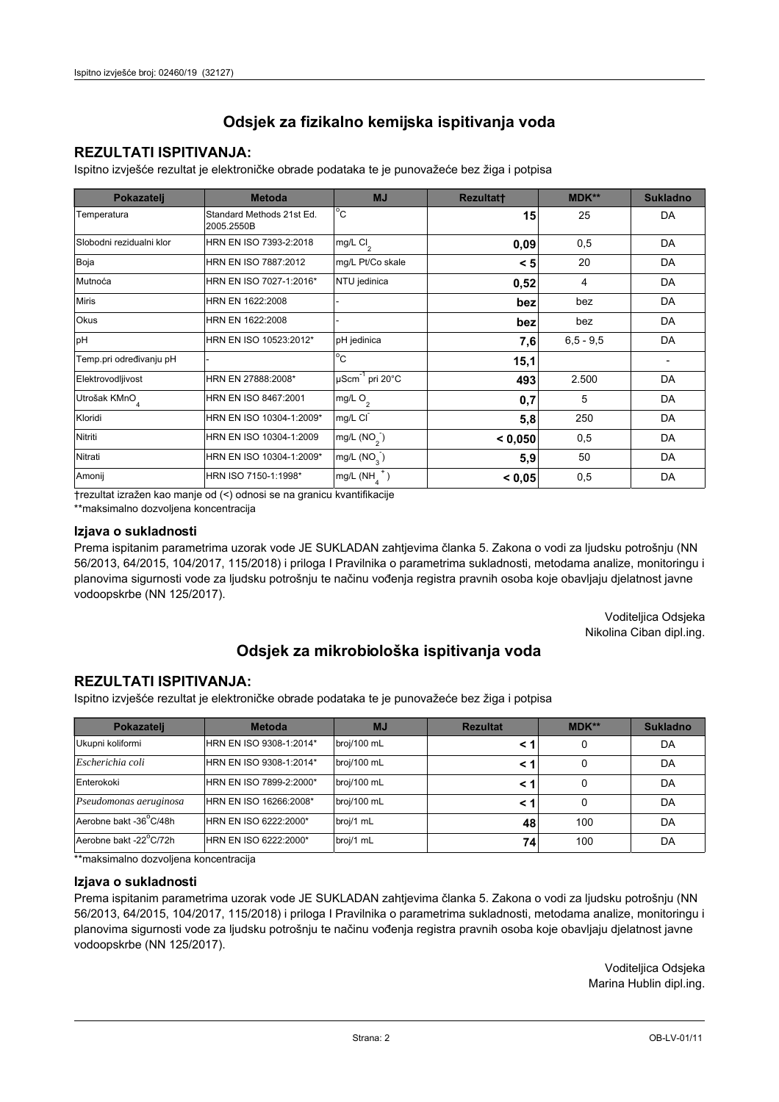## **REZULTATI ISPITIVANJA:**

Ispitno izviešće rezultat je elektroničke obrade podataka te je punovažeće bez žiga i potpisa

| Pokazatelj                | <b>Metoda</b>                           | <b>MJ</b>                   | <b>Rezultatt</b> | MDK**       | <b>Sukladno</b> |
|---------------------------|-----------------------------------------|-----------------------------|------------------|-------------|-----------------|
| Temperatura               | Standard Methods 21st Ed.<br>2005.2550B | $^{\circ}$ C                | 15               | 25          | DA              |
| Slobodni rezidualni klor  | HRN EN ISO 7393-2:2018                  | mg/L $Cl2$                  | 0,09             | 0,5         | DA              |
| Boja                      | HRN EN ISO 7887:2012                    | mg/L Pt/Co skale            | < 5              | 20          | DA              |
| Mutnoća                   | HRN EN ISO 7027-1:2016*                 | NTU jedinica                | 0,52             | 4           | DA              |
| <b>Miris</b>              | HRN EN 1622:2008                        |                             | bez              | bez         | DA              |
| Okus                      | HRN EN 1622:2008                        |                             | bez              | bez         | DA              |
| pH                        | HRN EN ISO 10523:2012*                  | pH jedinica                 | 7,6              | $6,5 - 9,5$ | DA              |
| Temp.pri određivanju pH   |                                         | $^{\circ}$ C                | 15,1             |             |                 |
| Elektrovodljivost         | HRN EN 27888:2008*                      | µScm <sup>-1</sup> pri 20°C | 493              | 2.500       | DA              |
| Utrošak KMnO <sub>4</sub> | HRN EN ISO 8467:2001                    | mg/L O <sub>2</sub>         | 0,7              | 5           | DA              |
| Kloridi                   | HRN EN ISO 10304-1:2009*                | mg/L CI                     | 5,8              | 250         | DA              |
| Nitriti                   | HRN EN ISO 10304-1:2009                 | mg/L $(NO2)$                | < 0,050          | 0,5         | DA              |
| Nitrati                   | HRN EN ISO 10304-1:2009*                | mg/L $(NO_{\rm q}^-)$       | 5,9              | 50          | DA              |
| Amonij                    | HRN ISO 7150-1:1998*                    | mg/L (NH                    | < 0,05           | 0,5         | DA              |

trezultat izražen kao manje od (<) odnosi se na granicu kvantifikacije

\*\*maksimalno dozvoljena koncentracija

#### Izjava o sukladnosti

Prema ispitanim parametrima uzorak vode JE SUKLADAN zahtievima članka 5. Zakona o vodi za ljudsku potrošnju (NN 56/2013, 64/2015, 104/2017, 115/2018) i priloga I Pravilnika o parametrima sukladnosti, metodama analize, monitoringu i planovima sigurnosti vode za ljudsku potrošnju te načinu vođenja registra pravnih osoba koje obavljaju djelatnost javne vodoopskrbe (NN 125/2017).

> Voditeljica Odsjeka Nikolina Ciban dipl.ing.

## Odsjek za mikrobiološka ispitivanja voda

## **REZULTATI ISPITIVANJA:**

Ispitno izvješće rezultat je elektroničke obrade podataka te je punovažeće bez žiga i potpisa

| Pokazatelj             | <b>Metoda</b>           | <b>MJ</b>   | <b>Rezultat</b> | <b>MDK**</b> | <b>Sukladno</b> |
|------------------------|-------------------------|-------------|-----------------|--------------|-----------------|
| Ukupni koliformi       | HRN EN ISO 9308-1:2014* | broj/100 mL |                 | 0            | DA              |
| Escherichia coli       | HRN EN ISO 9308-1:2014* | broj/100 mL | < 1             | 0            | DA              |
| Enterokoki             | HRN EN ISO 7899-2:2000* | broj/100 mL | < '             | 0            | DA              |
| Pseudomonas aeruginosa | HRN EN ISO 16266:2008*  | broj/100 mL | < 1             | 0            | DA              |
| Aerobne bakt -36 C/48h | HRN EN ISO 6222:2000*   | broj/1 mL   | 48              | 100          | DA              |
| Aerobne bakt -22°C/72h | HRN EN ISO 6222:2000*   | broj/1 mL   | 74              | 100          | DA              |

\*\*maksimalno dozvoljena koncentracija

#### Izjava o sukladnosti

Prema ispitanim parametrima uzorak vode JE SUKLADAN zahtjevima članka 5. Zakona o vodi za ljudsku potrošnju (NN 56/2013, 64/2015, 104/2017, 115/2018) i priloga I Pravilnika o parametrima sukladnosti, metodama analize, monitoringu i planovima sigurnosti vode za ljudsku potrošnju te načinu vođenja registra pravnih osoba koje obavljaju djelatnost javne vodoopskrbe (NN 125/2017).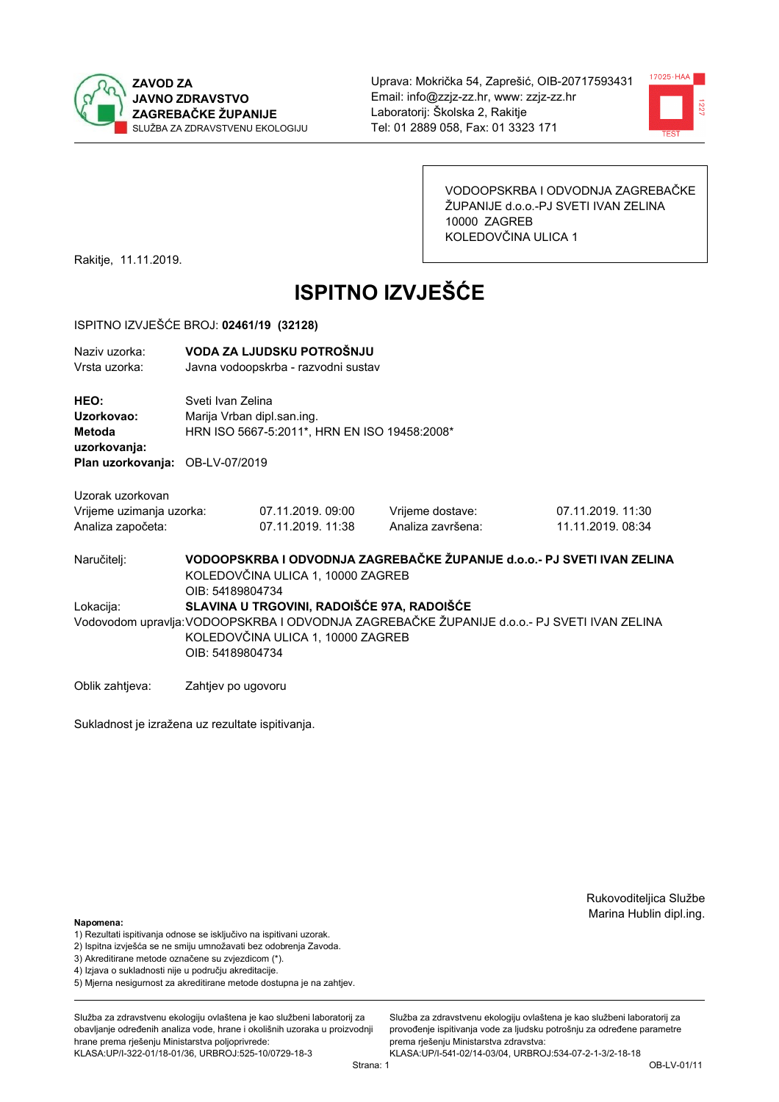



VODOOPSKRBA I ODVODNJA ZAGREBAČKE ŽUPANIJE d.o.o.-PJ SVETI IVAN ZELINA 10000 ZAGREB KOLEDOVČINA ULICA 1

Rakitje, 11.11.2019.

# **ISPITNO IZVJEŠĆE**

#### ISPITNO IZVJEŠĆE BROJ: 02461/19 (32128)

| Naziv uzorka:                   |                            | VODA ZA LJUDSKU POTROŠNJU                    |                   |                                                                                             |
|---------------------------------|----------------------------|----------------------------------------------|-------------------|---------------------------------------------------------------------------------------------|
| Vrsta uzorka:                   |                            | Javna vodoopskrba - razvodni sustav          |                   |                                                                                             |
|                                 |                            |                                              |                   |                                                                                             |
| HEO:                            | Sveti Ivan Zelina          |                                              |                   |                                                                                             |
| Uzorkovao:                      | Marija Vrban dipl.san.ing. |                                              |                   |                                                                                             |
|                                 |                            |                                              |                   |                                                                                             |
| Metoda                          |                            | HRN ISO 5667-5:2011*, HRN EN ISO 19458:2008* |                   |                                                                                             |
| uzorkovanja:                    |                            |                                              |                   |                                                                                             |
| Plan uzorkovanja: OB-LV-07/2019 |                            |                                              |                   |                                                                                             |
|                                 |                            |                                              |                   |                                                                                             |
| Uzorak uzorkovan                |                            |                                              |                   |                                                                                             |
| Vrijeme uzimanja uzorka:        |                            | 07.11.2019.09:00                             | Vrijeme dostave:  | 07.11.2019. 11:30                                                                           |
| Analiza započeta:               |                            | 07.11.2019. 11:38                            | Analiza završena: | 11.11.2019. 08:34                                                                           |
|                                 |                            |                                              |                   |                                                                                             |
| Naručitelj:                     |                            |                                              |                   | VODOOPSKRBA I ODVODNJA ZAGREBAČKE ŽUPANIJE d.o.o.- PJ SVETI IVAN ZELINA                     |
|                                 |                            | KOLEDOVČINA ULICA 1, 10000 ZAGREB            |                   |                                                                                             |
|                                 | OIB: 54189804734           |                                              |                   |                                                                                             |
|                                 |                            |                                              |                   |                                                                                             |
| Lokacija:                       |                            | SLAVINA U TRGOVINI, RADOIŠĆE 97A, RADOIŠĆE   |                   |                                                                                             |
|                                 |                            |                                              |                   | Vodovodom upravlja: VODOOPSKRBA I ODVODNJA ZAGREBAČKE ŽUPANIJE d.o.o.- PJ SVETI IVAN ZELINA |
|                                 |                            | KOLEDOVČINA ULICA 1, 10000 ZAGREB            |                   |                                                                                             |
|                                 | OIB: 54189804734           |                                              |                   |                                                                                             |
|                                 |                            |                                              |                   |                                                                                             |
| Oblik zahtjeva:                 | Zahtjev po ugovoru         |                                              |                   |                                                                                             |
|                                 |                            |                                              |                   |                                                                                             |

Sukladnost je izražena uz rezultate ispitivanja.

Rukovoditeljica Službe Marina Hublin dipl.ing.

#### Napomena:

- 1) Rezultati ispitivanja odnose se isključivo na ispitivani uzorak.
- 2) Ispitna izvješća se ne smiju umnožavati bez odobrenja Zavoda.
- 3) Akreditirane metode označene su zvjezdicom (\*).
- 4) Iziava o sukladnosti nije u području akreditacije.
- 5) Mjerna nesigurnost za akreditirane metode dostupna je na zahtjev.

Služba za zdravstvenu ekologiju ovlaštena je kao službeni laboratorij za obavlianie određenih analiza vode, hrane i okolišnih uzoraka u proizvodniji hrane prema rješenju Ministarstva poljoprivrede: KLASA:UP/I-322-01/18-01/36, URBROJ:525-10/0729-18-3

KLASA:UP/I-541-02/14-03/04, URBROJ:534-07-2-1-3/2-18-18 Strana: 1

prema rješenju Ministarstva zdravstva:

Služba za zdravstvenu ekologiju ovlaštena je kao službeni laboratorij za

provođenie ispitivania vode za liudsku potrošniu za određene parametre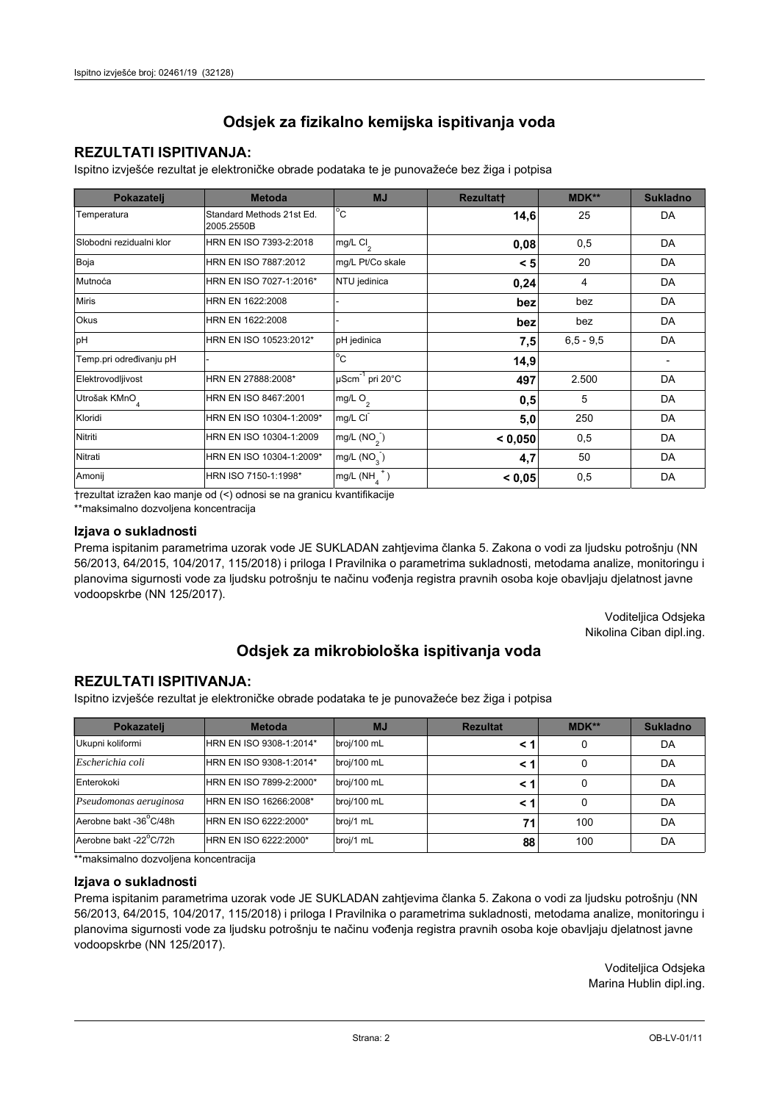## **REZULTATI ISPITIVANJA:**

Ispitno izviešće rezultat je elektroničke obrade podataka te je punovažeće bez žiga i potpisa

| Pokazatelj                | <b>Metoda</b>                           | <b>MJ</b>                   | <b>Rezultatt</b> | MDK**         | <b>Sukladno</b> |
|---------------------------|-----------------------------------------|-----------------------------|------------------|---------------|-----------------|
| Temperatura               | Standard Methods 21st Ed.<br>2005.2550B | $^{\circ}$ C                | 14,6             | 25            | DA              |
| Slobodni rezidualni klor  | HRN EN ISO 7393-2:2018                  | mg/L Cl <sub>2</sub>        | 0,08             | 0,5           | DA              |
| Boja                      | HRN EN ISO 7887:2012                    | mg/L Pt/Co skale            | < 5              | 20            | DA              |
| Mutnoća                   | HRN EN ISO 7027-1:2016*                 | NTU jedinica                | 0,24             | 4             | DA              |
| <b>Miris</b>              | HRN EN 1622:2008                        |                             | bez              | bez           | DA              |
| <b>Okus</b>               | HRN EN 1622:2008                        |                             | bez              | bez           | DA              |
| pH                        | HRN EN ISO 10523:2012*                  | pH jedinica                 | 7,5              | $6, 5 - 9, 5$ | DA              |
| Temp.pri određivanju pH   |                                         | $\overline{C}$              | 14,9             |               |                 |
| Elektrovodljivost         | HRN EN 27888:2008*                      | µScm <sup>-1</sup> pri 20°C | 497              | 2.500         | DA              |
| Utrošak KMnO <sub>4</sub> | HRN EN ISO 8467:2001                    | mg/L O <sub>2</sub>         | 0,5              | 5             | DA              |
| Kloridi                   | HRN EN ISO 10304-1:2009*                | mg/L CI                     | 5,0              | 250           | DA              |
| Nitriti                   | HRN EN ISO 10304-1:2009                 | mg/L $(NO2)$                | < 0,050          | 0,5           | DA              |
| Nitrati                   | HRN EN ISO 10304-1:2009*                | mg/L $(NO3)$                | 4,7              | 50            | DA              |
| Amonij                    | HRN ISO 7150-1:1998*                    | mg/L (NH                    | < 0,05           | 0,5           | DA              |

trezultat izražen kao manje od (<) odnosi se na granicu kvantifikacije

\*\*maksimalno dozvoljena koncentracija

#### Izjava o sukladnosti

Prema ispitanim parametrima uzorak vode JE SUKLADAN zahtievima članka 5. Zakona o vodi za ljudsku potrošnju (NN 56/2013, 64/2015, 104/2017, 115/2018) i priloga I Pravilnika o parametrima sukladnosti, metodama analize, monitoringu i planovima sigurnosti vode za ljudsku potrošnju te načinu vođenja registra pravnih osoba koje obavljaju djelatnost javne vodoopskrbe (NN 125/2017).

> Voditeljica Odsjeka Nikolina Ciban dipl.ing.

## Odsjek za mikrobiološka ispitivanja voda

### **REZULTATI ISPITIVANJA:**

Ispitno izvješće rezultat je elektroničke obrade podataka te je punovažeće bez žiga i potpisa

| Pokazatelj             | <b>Metoda</b>           | <b>MJ</b>   | <b>Rezultat</b> | <b>MDK**</b> | <b>Sukladno</b> |
|------------------------|-------------------------|-------------|-----------------|--------------|-----------------|
| Ukupni koliformi       | HRN EN ISO 9308-1:2014* | broj/100 mL |                 | 0            | DA              |
| Escherichia coli       | HRN EN ISO 9308-1:2014* | broj/100 mL | < 1             | 0            | DA              |
| Enterokoki             | HRN EN ISO 7899-2:2000* | broj/100 mL | < '             | 0            | DA              |
| Pseudomonas aeruginosa | HRN EN ISO 16266:2008*  | broj/100 mL | < 1             | 0            | DA              |
| Aerobne bakt -36 C/48h | HRN EN ISO 6222:2000*   | broj/1 mL   | 71              | 100          | DA              |
| Aerobne bakt -22°C/72h | HRN EN ISO 6222:2000*   | broj/1 mL   | 88              | 100          | DA              |

\*\*maksimalno dozvoljena koncentracija

#### Izjava o sukladnosti

Prema ispitanim parametrima uzorak vode JE SUKLADAN zahtjevima članka 5. Zakona o vodi za ljudsku potrošnju (NN 56/2013, 64/2015, 104/2017, 115/2018) i priloga I Pravilnika o parametrima sukladnosti, metodama analize, monitoringu i planovima sigurnosti vode za ljudsku potrošnju te načinu vođenja registra pravnih osoba koje obavljaju djelatnost javne vodoopskrbe (NN 125/2017).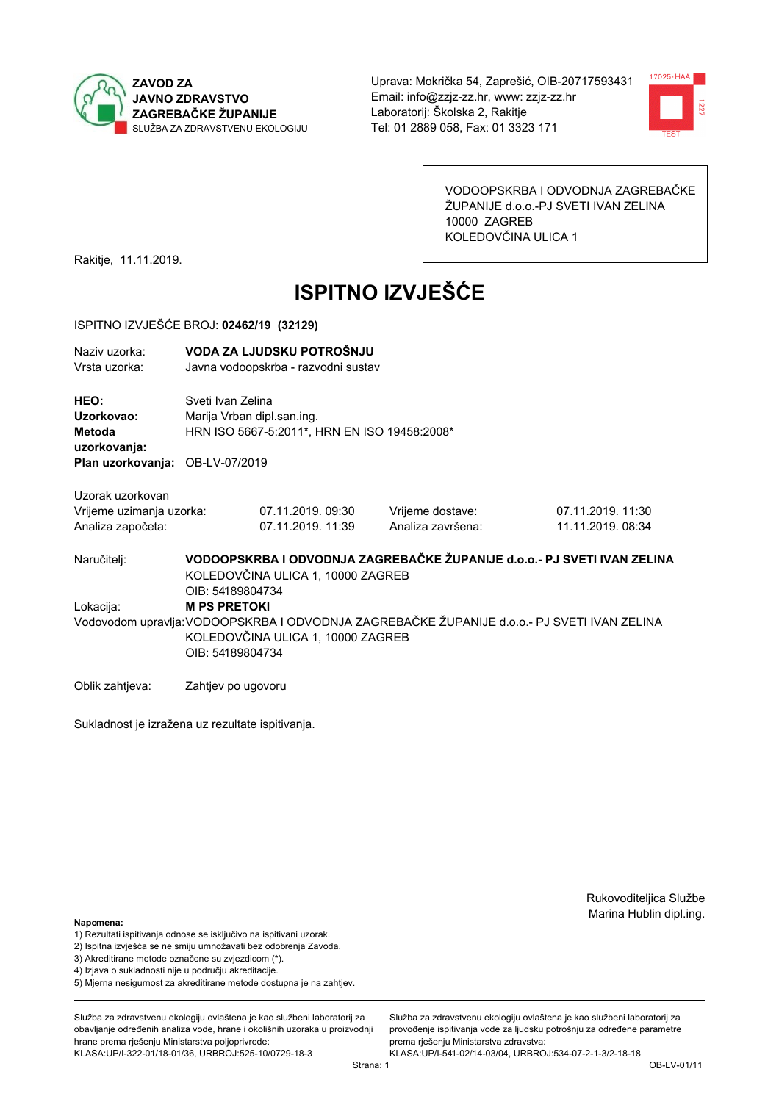



VODOOPSKRBA I ODVODNJA ZAGREBAČKE ŽUPANIJE d.o.o.-PJ SVETI IVAN ZELINA 10000 ZAGREB KOLEDOVČINA ULICA 1

Rakitje, 11.11.2019.

# **ISPITNO IZVJEŠĆE**

#### ISPITNO IZVJEŠĆE BROJ: 02462/19 (32129)

| Naziv uzorka:<br>Vrsta uzorka:                  | VODA ZA LJUDSKU POTROŠNJU<br>Javna vodoopskrba - razvodni sustav                                                                 |                                                                                                 |                   |                                                                                             |  |  |
|-------------------------------------------------|----------------------------------------------------------------------------------------------------------------------------------|-------------------------------------------------------------------------------------------------|-------------------|---------------------------------------------------------------------------------------------|--|--|
| HEO:<br>Uzorkovao:<br>Metoda                    |                                                                                                                                  | Sveti Ivan Zelina<br>Marija Vrban dipl.san.ing.<br>HRN ISO 5667-5:2011*, HRN EN ISO 19458:2008* |                   |                                                                                             |  |  |
| uzorkovanja:<br>Plan uzorkovanja: OB-LV-07/2019 |                                                                                                                                  |                                                                                                 |                   |                                                                                             |  |  |
| Uzorak uzorkovan                                |                                                                                                                                  |                                                                                                 |                   |                                                                                             |  |  |
| Vrijeme uzimanja uzorka:                        |                                                                                                                                  | 07.11.2019. 09:30                                                                               | Vrijeme dostave:  | 07.11.2019. 11:30                                                                           |  |  |
| Analiza započeta:                               |                                                                                                                                  | 07.11.2019. 11:39                                                                               | Analiza završena: | 11.11.2019. 08:34                                                                           |  |  |
| Naručitelj:                                     | VODOOPSKRBA I ODVODNJA ZAGREBAČKE ŽUPANIJE d.o.o.- PJ SVETI IVAN ZELINA<br>KOLEDOVČINA ULICA 1, 10000 ZAGREB<br>OIB: 54189804734 |                                                                                                 |                   |                                                                                             |  |  |
| Lokacija:                                       | <b>M PS PRETOKI</b>                                                                                                              |                                                                                                 |                   |                                                                                             |  |  |
|                                                 |                                                                                                                                  |                                                                                                 |                   | Vodovodom upravlja: VODOOPSKRBA I ODVODNJA ZAGREBAČKE ŽUPANIJE d.o.o.- PJ SVETI IVAN ZELINA |  |  |

KOLEDOVČINA ULICA 1, 10000 ZAGREB OIB: 54189804734

Oblik zahtjeva: Zahtjev po ugovoru

Sukladnost je izražena uz rezultate ispitivanja.

Rukovoditeljica Službe Marina Hublin dipl.ing.

#### Napomena:

- 1) Rezultati ispitivanja odnose se isključivo na ispitivani uzorak.
- 2) Ispitna izvješća se ne smiju umnožavati bez odobrenja Zavoda.
- 3) Akreditirane metode označene su zvjezdicom (\*).
- 4) Iziava o sukladnosti nije u području akreditacije.
- 5) Mjerna nesigurnost za akreditirane metode dostupna je na zahtjev.

Služba za zdravstvenu ekologiju ovlaštena je kao službeni laboratorij za obavlianie određenih analiza vode, hrane i okolišnih uzoraka u proizvodniji hrane prema rješenju Ministarstva poljoprivrede: KLASA:UP/I-322-01/18-01/36, URBROJ:525-10/0729-18-3

Služba za zdravstvenu ekologiju ovlaštena je kao službeni laboratorij za provođenie ispitivania vode za liudsku potrošniu za određene parametre prema rješenju Ministarstva zdravstva:

KLASA:UP/I-541-02/14-03/04, URBROJ:534-07-2-1-3/2-18-18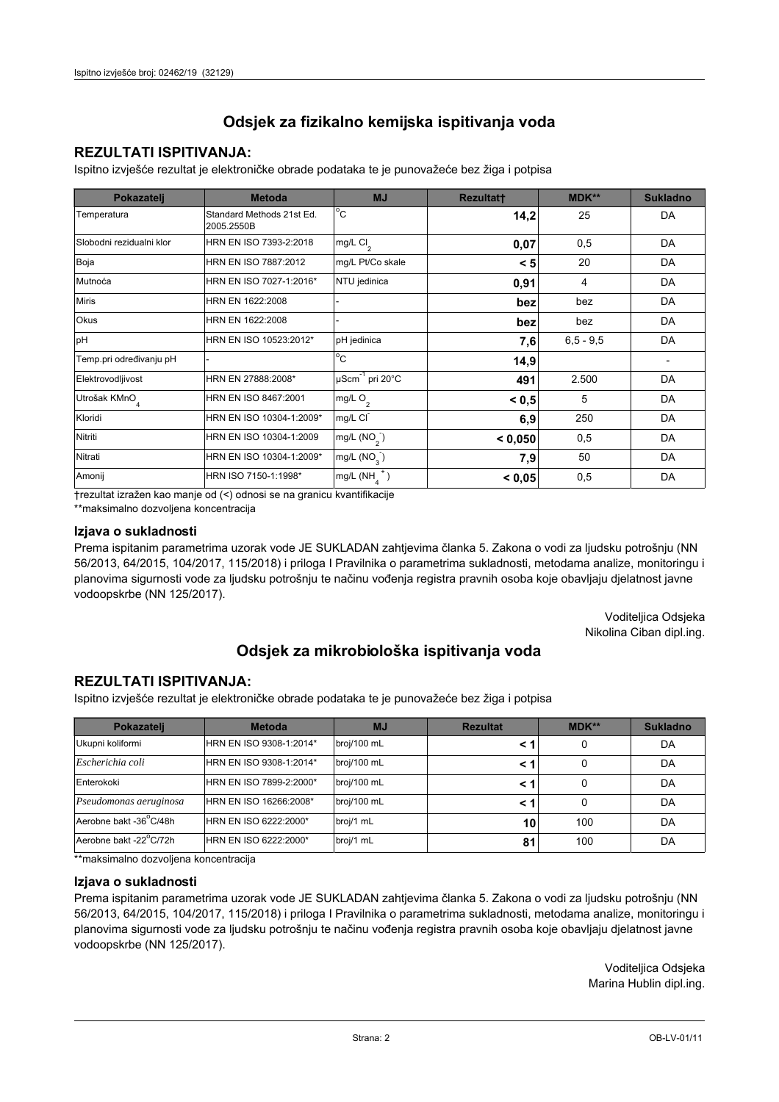## **REZULTATI ISPITIVANJA:**

Ispitno izviešće rezultat je elektroničke obrade podataka te je punovažeće bez žiga i potpisa

| Pokazatelj                | <b>Metoda</b>                           | <b>MJ</b>               | <b>Rezultatt</b> | MDK**         | <b>Sukladno</b> |
|---------------------------|-----------------------------------------|-------------------------|------------------|---------------|-----------------|
| Temperatura               | Standard Methods 21st Ed.<br>2005.2550B | $^{\circ}$ C            | 14,2             | 25            | DA              |
| Slobodni rezidualni klor  | HRN EN ISO 7393-2:2018                  | $mg/L$ Cl <sub>2</sub>  | 0,07             | 0,5           | DA              |
| Boja                      | HRN EN ISO 7887:2012                    | mg/L Pt/Co skale        | < 5              | 20            | DA              |
| Mutnoća                   | HRN EN ISO 7027-1:2016*                 | NTU jedinica            | 0,91             | 4             | DA              |
| <b>Miris</b>              | HRN EN 1622:2008                        |                         | bez              | bez           | DA              |
| Okus                      | HRN EN 1622:2008                        |                         | bez              | bez           | DA              |
| pH                        | HRN EN ISO 10523:2012*                  | pH jedinica             | 7,6              | $6, 5 - 9, 5$ | DA              |
| Temp.pri određivanju pH   |                                         | $^{\circ}$ C            | 14,9             |               |                 |
| Elektrovodljivost         | HRN EN 27888:2008*                      | µScm-1 pri 20°C         | 491              | 2.500         | DA              |
| Utrošak KMnO <sub>4</sub> | HRN EN ISO 8467:2001                    | mg/L O <sub>2</sub>     | < 0.5            | 5             | DA              |
| Kloridi                   | HRN EN ISO 10304-1:2009*                | mg/L CI                 | 6,9              | 250           | DA              |
| Nitriti                   | HRN EN ISO 10304-1:2009                 | mg/L $(NO2)$            | < 0.050          | 0,5           | DA              |
| Nitrati                   | HRN EN ISO 10304-1:2009*                | mg/L (NO <sub>3</sub> ) | 7,9              | 50            | DA              |
| Amonij                    | HRN ISO 7150-1:1998*                    | mg/L (NH                | < 0,05           | 0,5           | DA              |

trezultat izražen kao manje od (<) odnosi se na granicu kvantifikacije

\*\*maksimalno dozvoljena koncentracija

#### Izjava o sukladnosti

Prema ispitanim parametrima uzorak vode JE SUKLADAN zahtievima članka 5. Zakona o vodi za ljudsku potrošnju (NN 56/2013, 64/2015, 104/2017, 115/2018) i priloga I Pravilnika o parametrima sukladnosti, metodama analize, monitoringu i planovima sigurnosti vode za ljudsku potrošnju te načinu vođenja registra pravnih osoba koje obavljaju djelatnost javne vodoopskrbe (NN 125/2017).

> Voditeljica Odsjeka Nikolina Ciban dipl.ing.

## Odsjek za mikrobiološka ispitivanja voda

### **REZULTATI ISPITIVANJA:**

Ispitno izvješće rezultat je elektroničke obrade podataka te je punovažeće bez žiga i potpisa

| Pokazatelj             | <b>Metoda</b>           | <b>MJ</b>   | <b>Rezultat</b> | <b>MDK**</b> | <b>Sukladno</b> |
|------------------------|-------------------------|-------------|-----------------|--------------|-----------------|
| Ukupni koliformi       | HRN EN ISO 9308-1:2014* | broj/100 mL |                 | 0            | DA              |
| Escherichia coli       | HRN EN ISO 9308-1:2014* | broj/100 mL | < 1             | 0            | DA              |
| Enterokoki             | HRN EN ISO 7899-2:2000* | broj/100 mL | < 1             | 0            | DA              |
| Pseudomonas aeruginosa | HRN EN ISO 16266:2008*  | broj/100 mL | < 1             | 0            | DA              |
| Aerobne bakt -36 C/48h | HRN EN ISO 6222:2000*   | broj/1 mL   | 10              | 100          | DA              |
| Aerobne bakt -22°C/72h | HRN EN ISO 6222:2000*   | broj/1 mL   | 81              | 100          | DA              |

\*\*maksimalno dozvoljena koncentracija

#### Izjava o sukladnosti

Prema ispitanim parametrima uzorak vode JE SUKLADAN zahtjevima članka 5. Zakona o vodi za ljudsku potrošnju (NN 56/2013, 64/2015, 104/2017, 115/2018) i priloga I Pravilnika o parametrima sukladnosti, metodama analize, monitoringu i planovima sigurnosti vode za ljudsku potrošnju te načinu vođenja registra pravnih osoba koje obavljaju djelatnost javne vodoopskrbe (NN 125/2017).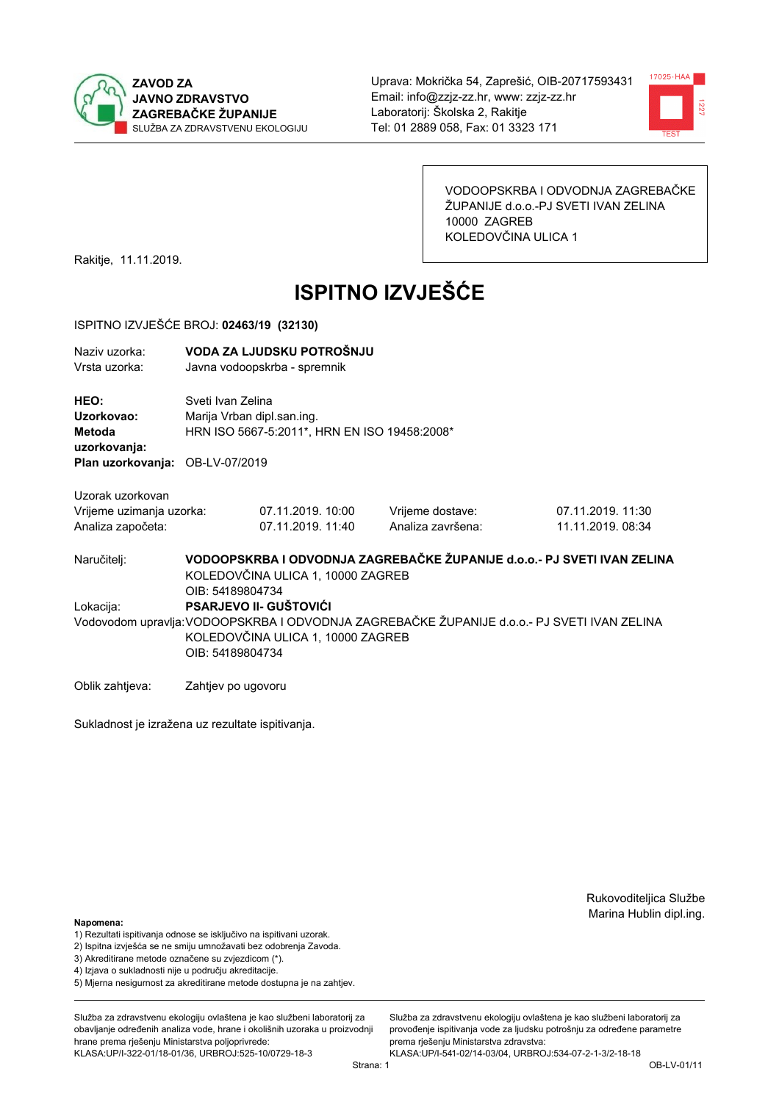



VODOOPSKRBA I ODVODNJA ZAGREBAČKE ŽUPANIJE d.o.o.-PJ SVETI IVAN ZELINA 10000 ZAGREB KOLEDOVČINA ULICA 1

Rakitje, 11.11.2019.

# **ISPITNO IZVJEŠĆE**

#### ISPITNO IZVJEŠĆE BROJ: 02463/19 (32130)

| Naziv uzorka: | VODA ZA LJUDSKU POTROŠNJU    |
|---------------|------------------------------|
| Vrsta uzorka: | Javna vodoopskrba - spremnik |

HEO: Sveti Ivan Zelina Uzorkovao: Marija Vrban dipl.san.ing. Metoda HRN ISO 5667-5:2011\*, HRN EN ISO 19458:2008\* uzorkovanja: Plan uzorkovanja: OB-LV-07/2019

Uzorak uzorkovan

| Vrijeme uzimanja uzorka: | 07.11.2019. 10:00 | Vrijeme dostave:  | 07.11.2019. 11:30 |
|--------------------------|-------------------|-------------------|-------------------|
| Analiza započeta:        | 07.11.2019. 11:40 | Analiza završena: | 11.11.2019. 08:34 |

VODOOPSKRBA I ODVODNJA ZAGREBAČKE ŽUPANIJE d.o.o. - PJ SVETI IVAN ZELINA Naručitelj: KOLEDOVČINA ULICA 1, 10000 ZAGREB OIB: 54189804734 Lokacija: **PSARJEVO II- GUŠTOVIĆI** Vodovodom upravlja: VODOOPSKRBA I ODVODNJA ZAGREBAČKE ŽUPANIJE d.o.o.- PJ SVETI IVAN ZELINA KOLEDOVČINA ULICA 1, 10000 ZAGREB OIB: 54189804734

Oblik zahtjeva: Zahtjev po ugovoru

Sukladnost je izražena uz rezultate ispitivanja.

Rukovoditeljica Službe Marina Hublin dipl.ing.

#### Napomena:

- 1) Rezultati ispitivanja odnose se isključivo na ispitivani uzorak.
- 2) Ispitna izvješća se ne smiju umnožavati bez odobrenja Zavoda.
- 3) Akreditirane metode označene su zvjezdicom (\*).
- 4) Iziava o sukladnosti nije u području akreditacije.
- 5) Mjerna nesigurnost za akreditirane metode dostupna je na zahtjev.

Služba za zdravstvenu ekologiju ovlaštena je kao službeni laboratorij za obavlianie određenih analiza vode, hrane i okolišnih uzoraka u proizvodniji hrane prema rješenju Ministarstva poljoprivrede: KLASA:UP/I-322-01/18-01/36, URBROJ:525-10/0729-18-3

Strana: 1

Služba za zdravstvenu ekologiju ovlaštena je kao službeni laboratorij za provođenie ispitivania vode za liudsku potrošniu za određene parametre prema riešenju Ministarstva zdravstva: